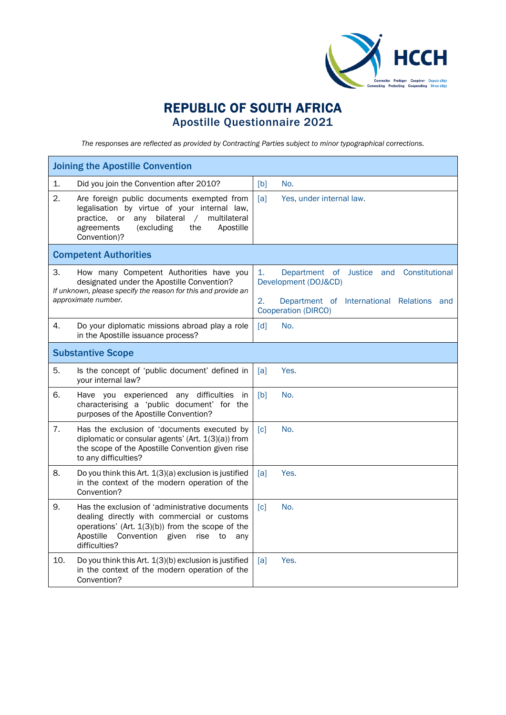

## REPUBLIC OF SOUTH AFRICA Apostille Questionnaire 2021

*The responses are reflected as provided by Contracting Parties subject to minor typographical corrections.*

| <b>Joining the Apostille Convention</b>                                                                                                                                                                                                |                                                                                                                                                                        |  |  |  |
|----------------------------------------------------------------------------------------------------------------------------------------------------------------------------------------------------------------------------------------|------------------------------------------------------------------------------------------------------------------------------------------------------------------------|--|--|--|
| 1.<br>Did you join the Convention after 2010?                                                                                                                                                                                          | [b]<br>No.                                                                                                                                                             |  |  |  |
| $\mathbf{2}$<br>Are foreign public documents exempted from<br>legalisation by virtue of your internal law,<br>practice, or any bilateral<br>multilateral<br>$\sqrt{2}$<br>agreements<br>(excluding<br>the<br>Apostille<br>Convention)? | [a]<br>Yes, under internal law.                                                                                                                                        |  |  |  |
| <b>Competent Authorities</b>                                                                                                                                                                                                           |                                                                                                                                                                        |  |  |  |
| З.<br>How many Competent Authorities have you<br>designated under the Apostille Convention?<br>If unknown, please specify the reason for this and provide an<br>approximate number.                                                    | $\mathbf{1}$ .<br>Department of Justice and<br>Constitutional<br>Development (DOJ&CD)<br>2.<br>Department of International Relations and<br><b>Cooperation (DIRCO)</b> |  |  |  |
| Do your diplomatic missions abroad play a role<br>4.<br>in the Apostille issuance process?                                                                                                                                             | [d]<br>No.                                                                                                                                                             |  |  |  |
| <b>Substantive Scope</b>                                                                                                                                                                                                               |                                                                                                                                                                        |  |  |  |
| 5.<br>Is the concept of 'public document' defined in<br>your internal law?                                                                                                                                                             | Yes.<br>[a]                                                                                                                                                            |  |  |  |
| 6.<br>Have you experienced any difficulties<br>in<br>characterising a 'public document' for the<br>purposes of the Apostille Convention?                                                                                               | No.<br>[b]                                                                                                                                                             |  |  |  |
| 7.<br>Has the exclusion of 'documents executed by<br>diplomatic or consular agents' (Art. 1(3)(a)) from<br>the scope of the Apostille Convention given rise<br>to any difficulties?                                                    | No.<br>$\lceil c \rceil$                                                                                                                                               |  |  |  |
| 8.<br>Do you think this Art. 1(3)(a) exclusion is justified<br>in the context of the modern operation of the<br>Convention?                                                                                                            | [a]<br>Yes.                                                                                                                                                            |  |  |  |
| 9.<br>Has the exclusion of 'administrative documents<br>dealing directly with commercial or customs<br>operations' (Art. 1(3)(b)) from the scope of the<br>Apostille<br>Convention given<br>rise to<br>any<br>difficulties?            | [c]<br>No.                                                                                                                                                             |  |  |  |
| 10.<br>Do you think this Art. 1(3)(b) exclusion is justified<br>in the context of the modern operation of the<br>Convention?                                                                                                           | Yes.<br>[a]                                                                                                                                                            |  |  |  |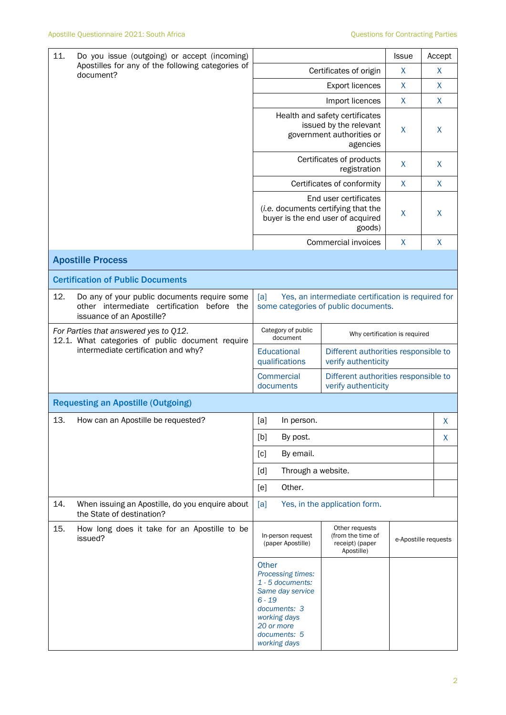| 11.<br>Do you issue (outgoing) or accept (incoming)<br>Apostilles for any of the following categories of<br>document? |                                                                                                                             |                                                                                                                                                                                                                                                                                |                                |                      | <b>Issue</b>                         | Accept       |
|-----------------------------------------------------------------------------------------------------------------------|-----------------------------------------------------------------------------------------------------------------------------|--------------------------------------------------------------------------------------------------------------------------------------------------------------------------------------------------------------------------------------------------------------------------------|--------------------------------|----------------------|--------------------------------------|--------------|
|                                                                                                                       | Certificates of origin                                                                                                      |                                                                                                                                                                                                                                                                                |                                | X                    | X                                    |              |
|                                                                                                                       |                                                                                                                             |                                                                                                                                                                                                                                                                                | <b>Export licences</b>         |                      | X                                    | X            |
|                                                                                                                       |                                                                                                                             | Import licences                                                                                                                                                                                                                                                                |                                |                      | X                                    | $\mathsf{X}$ |
|                                                                                                                       |                                                                                                                             | Health and safety certificates<br>issued by the relevant<br>government authorities or<br>agencies                                                                                                                                                                              |                                | X                    | X                                    |              |
|                                                                                                                       |                                                                                                                             | Certificates of products<br>registration                                                                                                                                                                                                                                       |                                |                      | X                                    | X            |
|                                                                                                                       |                                                                                                                             | Certificates of conformity                                                                                                                                                                                                                                                     |                                |                      | $\mathsf{X}$                         | $\mathsf{X}$ |
|                                                                                                                       |                                                                                                                             | End user certificates<br>(i.e. documents certifying that the<br>buyer is the end user of acquired                                                                                                                                                                              |                                | goods)               | X                                    | X            |
|                                                                                                                       |                                                                                                                             |                                                                                                                                                                                                                                                                                |                                | Commercial invoices  | X                                    | X            |
|                                                                                                                       | <b>Apostille Process</b>                                                                                                    |                                                                                                                                                                                                                                                                                |                                |                      |                                      |              |
|                                                                                                                       | <b>Certification of Public Documents</b>                                                                                    |                                                                                                                                                                                                                                                                                |                                |                      |                                      |              |
| 12.                                                                                                                   | Do any of your public documents require some<br>other intermediate certification<br>before the<br>issuance of an Apostille? | [a]<br>Yes, an intermediate certification is required for<br>some categories of public documents.                                                                                                                                                                              |                                |                      |                                      |              |
|                                                                                                                       | For Parties that answered yes to Q12.<br>12.1. What categories of public document require                                   |                                                                                                                                                                                                                                                                                | Category of public<br>document |                      | Why certification is required        |              |
| intermediate certification and why?                                                                                   |                                                                                                                             | Educational<br>Different authorities responsible to<br>qualifications<br>verify authenticity                                                                                                                                                                                   |                                |                      |                                      |              |
|                                                                                                                       |                                                                                                                             | <b>Commercial</b><br>verify authenticity<br>documents                                                                                                                                                                                                                          |                                |                      | Different authorities responsible to |              |
|                                                                                                                       | <b>Requesting an Apostille (Outgoing)</b>                                                                                   |                                                                                                                                                                                                                                                                                |                                |                      |                                      |              |
| 13.                                                                                                                   | How can an Apostille be requested?                                                                                          | [a]                                                                                                                                                                                                                                                                            | In person.                     |                      |                                      | X            |
|                                                                                                                       |                                                                                                                             | [b]<br>By post.                                                                                                                                                                                                                                                                |                                |                      | X                                    |              |
|                                                                                                                       |                                                                                                                             | By email.<br>[c]                                                                                                                                                                                                                                                               |                                |                      |                                      |              |
|                                                                                                                       |                                                                                                                             | Through a website.<br>[d]                                                                                                                                                                                                                                                      |                                |                      |                                      |              |
|                                                                                                                       |                                                                                                                             | Other.<br>[e]                                                                                                                                                                                                                                                                  |                                |                      |                                      |              |
| 14.                                                                                                                   | When issuing an Apostille, do you enquire about<br>the State of destination?                                                | Yes, in the application form.<br>[a]                                                                                                                                                                                                                                           |                                |                      |                                      |              |
| 15.                                                                                                                   | How long does it take for an Apostille to be<br>issued?                                                                     | Other requests<br>(from the time of<br>In-person request<br>(paper Apostille)<br>receipt) (paper<br>Apostille)<br>Other<br>Processing times:<br>1 - 5 documents:<br>Same day service<br>$6 - 19$<br>documents: 3<br>working days<br>20 or more<br>documents: 5<br>working days |                                | e-Apostille requests |                                      |              |
|                                                                                                                       |                                                                                                                             |                                                                                                                                                                                                                                                                                |                                |                      |                                      |              |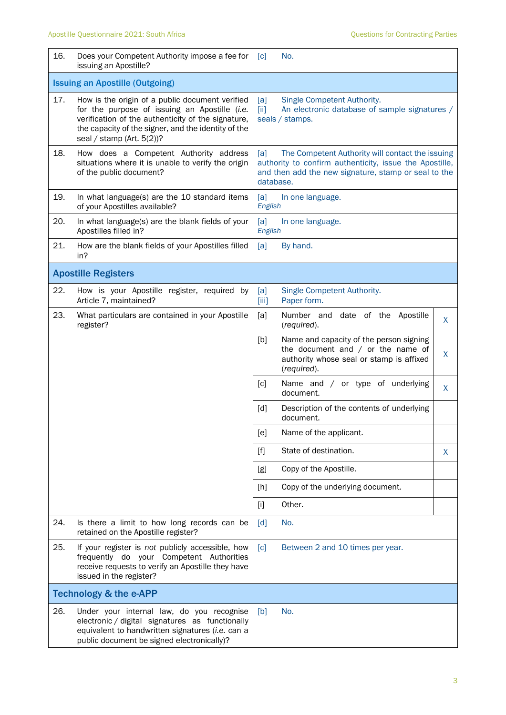| 16. | Does your Competent Authority impose a fee for<br>issuing an Apostille?                                                                                                                                                                    | [c]                                                                                                                                 | No.                                                                                                                                                                              |   |  |
|-----|--------------------------------------------------------------------------------------------------------------------------------------------------------------------------------------------------------------------------------------------|-------------------------------------------------------------------------------------------------------------------------------------|----------------------------------------------------------------------------------------------------------------------------------------------------------------------------------|---|--|
|     | <b>Issuing an Apostille (Outgoing)</b>                                                                                                                                                                                                     |                                                                                                                                     |                                                                                                                                                                                  |   |  |
| 17. | How is the origin of a public document verified<br>for the purpose of issuing an Apostille (i.e.<br>verification of the authenticity of the signature,<br>the capacity of the signer, and the identity of the<br>seal / stamp (Art. 5(2))? | Single Competent Authority.<br>[a]<br>An electronic database of sample signatures /<br>$\left[\text{iii}\right]$<br>seals / stamps. |                                                                                                                                                                                  |   |  |
| 18. | How does a Competent Authority address<br>situations where it is unable to verify the origin<br>of the public document?                                                                                                                    | [a]                                                                                                                                 | The Competent Authority will contact the issuing<br>authority to confirm authenticity, issue the Apostille,<br>and then add the new signature, stamp or seal to the<br>database. |   |  |
| 19. | In what language(s) are the 10 standard items<br>of your Apostilles available?                                                                                                                                                             | [a]<br>In one language.<br>English                                                                                                  |                                                                                                                                                                                  |   |  |
| 20. | In what language(s) are the blank fields of your<br>Apostilles filled in?                                                                                                                                                                  | [a]<br>In one language.<br>English                                                                                                  |                                                                                                                                                                                  |   |  |
| 21. | How are the blank fields of your Apostilles filled<br>in?                                                                                                                                                                                  | [a]                                                                                                                                 | By hand.                                                                                                                                                                         |   |  |
|     | <b>Apostille Registers</b>                                                                                                                                                                                                                 |                                                                                                                                     |                                                                                                                                                                                  |   |  |
| 22. | How is your Apostille register, required by<br>Article 7, maintained?                                                                                                                                                                      | [a]<br>[iii]                                                                                                                        | Single Competent Authority.<br>Paper form.                                                                                                                                       |   |  |
| 23. | What particulars are contained in your Apostille<br>register?                                                                                                                                                                              | [a]                                                                                                                                 | Number and date of the<br>Apostille<br>(required).                                                                                                                               | X |  |
|     |                                                                                                                                                                                                                                            | [b]                                                                                                                                 | Name and capacity of the person signing<br>the document and $/$ or the name of<br>authority whose seal or stamp is affixed<br>(required).                                        | X |  |
|     |                                                                                                                                                                                                                                            | [c]                                                                                                                                 | Name and / or type of underlying<br>document.                                                                                                                                    | X |  |
|     |                                                                                                                                                                                                                                            | [d]                                                                                                                                 | Description of the contents of underlying<br>document.                                                                                                                           |   |  |
|     |                                                                                                                                                                                                                                            | [e]                                                                                                                                 | Name of the applicant.                                                                                                                                                           |   |  |
|     |                                                                                                                                                                                                                                            | $[f]$                                                                                                                               | State of destination.                                                                                                                                                            | X |  |
|     |                                                                                                                                                                                                                                            | [g]                                                                                                                                 | Copy of the Apostille.                                                                                                                                                           |   |  |
|     |                                                                                                                                                                                                                                            | [h]                                                                                                                                 | Copy of the underlying document.                                                                                                                                                 |   |  |
|     |                                                                                                                                                                                                                                            | $[1]$                                                                                                                               | Other.                                                                                                                                                                           |   |  |
| 24. | Is there a limit to how long records can be<br>retained on the Apostille register?                                                                                                                                                         | $\lceil d \rceil$                                                                                                                   | No.                                                                                                                                                                              |   |  |
| 25. | If your register is not publicly accessible, how<br>frequently do your Competent Authorities<br>receive requests to verify an Apostille they have<br>issued in the register?                                                               | $\lceil c \rceil$                                                                                                                   | Between 2 and 10 times per year.                                                                                                                                                 |   |  |
|     | <b>Technology &amp; the e-APP</b>                                                                                                                                                                                                          |                                                                                                                                     |                                                                                                                                                                                  |   |  |
| 26. | Under your internal law, do you recognise<br>electronic / digital signatures as functionally<br>equivalent to handwritten signatures (i.e. can a<br>public document be signed electronically)?                                             | [b]                                                                                                                                 | No.                                                                                                                                                                              |   |  |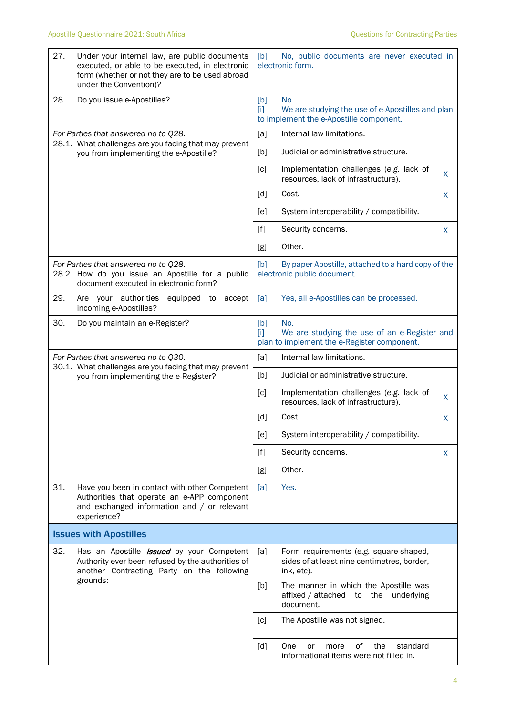| 27.                                  | Under your internal law, are public documents<br>executed, or able to be executed, in electronic<br>form (whether or not they are to be used abroad<br>under the Convention)? | [b]<br>No, public documents are never executed in<br>electronic form.                                              |    |  |
|--------------------------------------|-------------------------------------------------------------------------------------------------------------------------------------------------------------------------------|--------------------------------------------------------------------------------------------------------------------|----|--|
| 28.                                  | Do you issue e-Apostilles?                                                                                                                                                    | [b]<br>No.<br>We are studying the use of e-Apostilles and plan<br>$[1]$<br>to implement the e-Apostille component. |    |  |
| For Parties that answered no to Q28. |                                                                                                                                                                               | Internal law limitations.<br>[a]                                                                                   |    |  |
|                                      | 28.1. What challenges are you facing that may prevent<br>you from implementing the e-Apostille?                                                                               | [b]<br>Judicial or administrative structure.                                                                       |    |  |
|                                      |                                                                                                                                                                               | [c]<br>Implementation challenges (e.g. lack of<br>resources, lack of infrastructure).                              | X  |  |
|                                      |                                                                                                                                                                               | [d]<br>Cost.                                                                                                       | X. |  |
|                                      |                                                                                                                                                                               | System interoperability / compatibility.<br>[e]                                                                    |    |  |
|                                      |                                                                                                                                                                               | Security concerns.<br>$[f]$                                                                                        | X  |  |
|                                      |                                                                                                                                                                               | Other.<br>[g]                                                                                                      |    |  |
|                                      | For Parties that answered no to Q28.<br>28.2. How do you issue an Apostille for a public<br>document executed in electronic form?                                             | [b]<br>By paper Apostille, attached to a hard copy of the<br>electronic public document.                           |    |  |
| 29.                                  | Are your authorities<br>equipped to<br>accept<br>incoming e-Apostilles?                                                                                                       | Yes, all e-Apostilles can be processed.<br>[a]                                                                     |    |  |
| 30.                                  | Do you maintain an e-Register?                                                                                                                                                | [b]<br>No.<br>We are studying the use of an e-Register and<br>ſiΙ<br>plan to implement the e-Register component.   |    |  |
| For Parties that answered no to Q30. |                                                                                                                                                                               | [a]<br>Internal law limitations.                                                                                   |    |  |
|                                      | 30.1. What challenges are you facing that may prevent<br>you from implementing the e-Register?                                                                                | [b]<br>Judicial or administrative structure.                                                                       |    |  |
|                                      |                                                                                                                                                                               | Implementation challenges (e.g. lack of<br>[c]<br>resources, lack of infrastructure).                              | X  |  |
|                                      |                                                                                                                                                                               | [d]<br>Cost.                                                                                                       | X  |  |
|                                      |                                                                                                                                                                               | System interoperability / compatibility.<br>[e]                                                                    |    |  |
|                                      |                                                                                                                                                                               | $[f]$<br>Security concerns.                                                                                        | X  |  |
|                                      |                                                                                                                                                                               | Other.<br>[g]                                                                                                      |    |  |
| 31.                                  | Have you been in contact with other Competent<br>Authorities that operate an e-APP component<br>and exchanged information and / or relevant<br>experience?                    | Yes.<br>[a]                                                                                                        |    |  |
|                                      | <b>Issues with Apostilles</b>                                                                                                                                                 |                                                                                                                    |    |  |
| 32.                                  | Has an Apostille <i>issued</i> by your Competent<br>Authority ever been refused by the authorities of<br>another Contracting Party on the following                           | [a]<br>Form requirements (e.g. square-shaped,<br>sides of at least nine centimetres, border,<br>ink, etc).         |    |  |
|                                      | grounds:                                                                                                                                                                      | The manner in which the Apostille was<br>[b]<br>affixed / attached<br>the<br>underlying<br>to<br>document.         |    |  |
|                                      |                                                                                                                                                                               | [c]<br>The Apostille was not signed.                                                                               |    |  |
|                                      |                                                                                                                                                                               | [d]<br>0f<br>the<br>standard<br>One<br>or<br>more<br>informational items were not filled in.                       |    |  |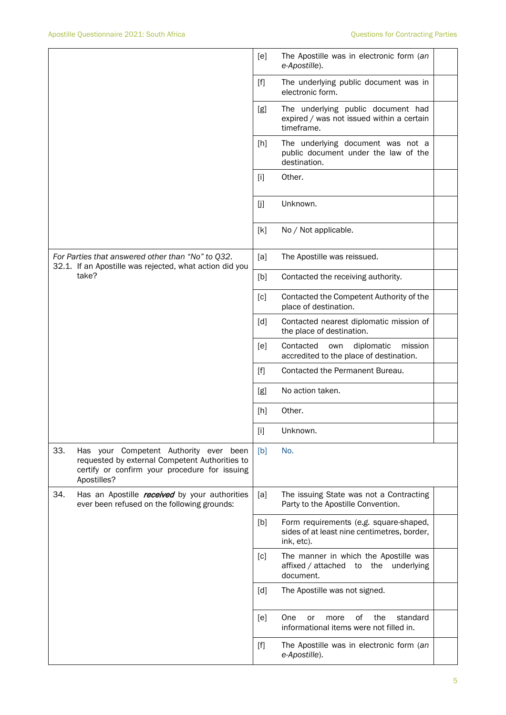|                                                                                                                                                                 | [e]<br>The Apostille was in electronic form (an<br>e-Apostille).                                           |
|-----------------------------------------------------------------------------------------------------------------------------------------------------------------|------------------------------------------------------------------------------------------------------------|
|                                                                                                                                                                 | $[f]$<br>The underlying public document was in<br>electronic form.                                         |
|                                                                                                                                                                 | The underlying public document had<br>[g]<br>expired / was not issued within a certain<br>timeframe.       |
|                                                                                                                                                                 | The underlying document was not a<br>[h]<br>public document under the law of the<br>destination.           |
|                                                                                                                                                                 | Other.<br>$[1]$                                                                                            |
|                                                                                                                                                                 | [j]<br>Unknown.                                                                                            |
|                                                                                                                                                                 | [k]<br>No / Not applicable.                                                                                |
| For Parties that answered other than "No" to Q32.<br>32.1. If an Apostille was rejected, what action did you                                                    | [a]<br>The Apostille was reissued.                                                                         |
| take?                                                                                                                                                           | Contacted the receiving authority.<br>[b]                                                                  |
|                                                                                                                                                                 | Contacted the Competent Authority of the<br>[c]<br>place of destination.                                   |
|                                                                                                                                                                 | Contacted nearest diplomatic mission of<br>[d]<br>the place of destination.                                |
|                                                                                                                                                                 | Contacted<br>diplomatic<br>[e]<br>own<br>mission<br>accredited to the place of destination.                |
|                                                                                                                                                                 | Contacted the Permanent Bureau.<br>[f]                                                                     |
|                                                                                                                                                                 | No action taken.<br>[g]                                                                                    |
|                                                                                                                                                                 | Other.<br>$[h]$                                                                                            |
|                                                                                                                                                                 | $[1]$<br>Unknown.                                                                                          |
| 33.<br>Has your Competent Authority ever been<br>requested by external Competent Authorities to<br>certify or confirm your procedure for issuing<br>Apostilles? | No.<br>[b]                                                                                                 |
| 34.<br>Has an Apostille <i>received</i> by your authorities<br>ever been refused on the following grounds:                                                      | The issuing State was not a Contracting<br>[a]<br>Party to the Apostille Convention.                       |
|                                                                                                                                                                 | Form requirements (e.g. square-shaped,<br>[b]<br>sides of at least nine centimetres, border,<br>ink, etc). |
|                                                                                                                                                                 | The manner in which the Apostille was<br>[c]<br>affixed / attached<br>the underlying<br>to<br>document.    |
|                                                                                                                                                                 | [d]<br>The Apostille was not signed.                                                                       |
|                                                                                                                                                                 | [e]<br>One<br>of<br>the<br>standard<br>or<br>more<br>informational items were not filled in.               |
|                                                                                                                                                                 | $[f]$<br>The Apostille was in electronic form (an<br>e-Apostille).                                         |